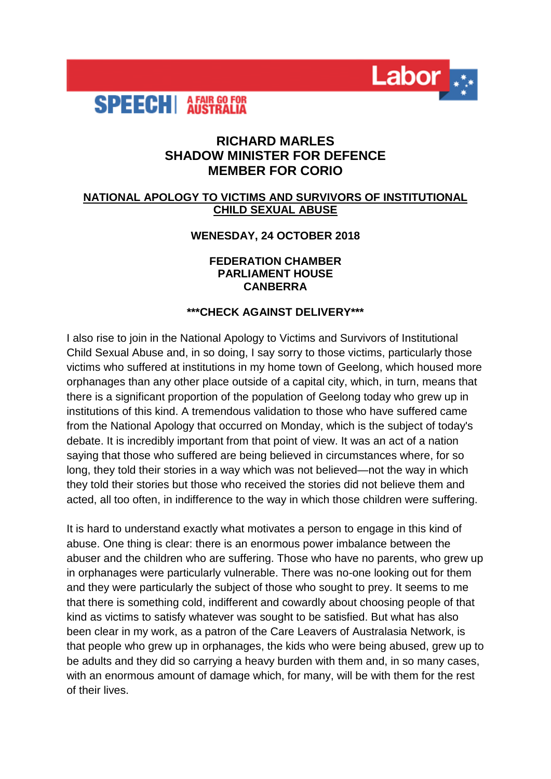

# **RICHARD MARLES SHADOW MINISTER FOR DEFENCE MEMBER FOR CORIO**

Labor<sub>\*</sub>

### **NATIONAL APOLOGY TO VICTIMS AND SURVIVORS OF INSTITUTIONAL CHILD SEXUAL ABUSE**

### **WENESDAY, 24 OCTOBER 2018**

#### **FEDERATION CHAMBER PARLIAMENT HOUSE CANBERRA**

### **\*\*\*CHECK AGAINST DELIVERY\*\*\***

I also rise to join in the National Apology to Victims and Survivors of Institutional Child Sexual Abuse and, in so doing, I say sorry to those victims, particularly those victims who suffered at institutions in my home town of Geelong, which housed more orphanages than any other place outside of a capital city, which, in turn, means that there is a significant proportion of the population of Geelong today who grew up in institutions of this kind. A tremendous validation to those who have suffered came from the National Apology that occurred on Monday, which is the subject of today's debate. It is incredibly important from that point of view. It was an act of a nation saying that those who suffered are being believed in circumstances where, for so long, they told their stories in a way which was not believed—not the way in which they told their stories but those who received the stories did not believe them and acted, all too often, in indifference to the way in which those children were suffering.

It is hard to understand exactly what motivates a person to engage in this kind of abuse. One thing is clear: there is an enormous power imbalance between the abuser and the children who are suffering. Those who have no parents, who grew up in orphanages were particularly vulnerable. There was no-one looking out for them and they were particularly the subject of those who sought to prey. It seems to me that there is something cold, indifferent and cowardly about choosing people of that kind as victims to satisfy whatever was sought to be satisfied. But what has also been clear in my work, as a patron of the Care Leavers of Australasia Network, is that people who grew up in orphanages, the kids who were being abused, grew up to be adults and they did so carrying a heavy burden with them and, in so many cases, with an enormous amount of damage which, for many, will be with them for the rest of their lives.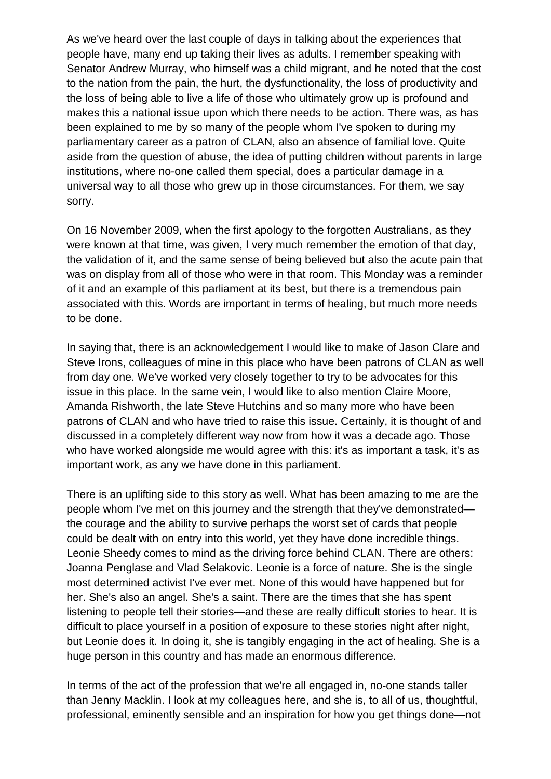As we've heard over the last couple of days in talking about the experiences that people have, many end up taking their lives as adults. I remember speaking with Senator Andrew Murray, who himself was a child migrant, and he noted that the cost to the nation from the pain, the hurt, the dysfunctionality, the loss of productivity and the loss of being able to live a life of those who ultimately grow up is profound and makes this a national issue upon which there needs to be action. There was, as has been explained to me by so many of the people whom I've spoken to during my parliamentary career as a patron of CLAN, also an absence of familial love. Quite aside from the question of abuse, the idea of putting children without parents in large institutions, where no-one called them special, does a particular damage in a universal way to all those who grew up in those circumstances. For them, we say sorry.

On 16 November 2009, when the first apology to the forgotten Australians, as they were known at that time, was given, I very much remember the emotion of that day, the validation of it, and the same sense of being believed but also the acute pain that was on display from all of those who were in that room. This Monday was a reminder of it and an example of this parliament at its best, but there is a tremendous pain associated with this. Words are important in terms of healing, but much more needs to be done.

In saying that, there is an acknowledgement I would like to make of Jason Clare and Steve Irons, colleagues of mine in this place who have been patrons of CLAN as well from day one. We've worked very closely together to try to be advocates for this issue in this place. In the same vein, I would like to also mention Claire Moore, Amanda Rishworth, the late Steve Hutchins and so many more who have been patrons of CLAN and who have tried to raise this issue. Certainly, it is thought of and discussed in a completely different way now from how it was a decade ago. Those who have worked alongside me would agree with this: it's as important a task, it's as important work, as any we have done in this parliament.

There is an uplifting side to this story as well. What has been amazing to me are the people whom I've met on this journey and the strength that they've demonstrated the courage and the ability to survive perhaps the worst set of cards that people could be dealt with on entry into this world, yet they have done incredible things. Leonie Sheedy comes to mind as the driving force behind CLAN. There are others: Joanna Penglase and Vlad Selakovic. Leonie is a force of nature. She is the single most determined activist I've ever met. None of this would have happened but for her. She's also an angel. She's a saint. There are the times that she has spent listening to people tell their stories—and these are really difficult stories to hear. It is difficult to place yourself in a position of exposure to these stories night after night, but Leonie does it. In doing it, she is tangibly engaging in the act of healing. She is a huge person in this country and has made an enormous difference.

In terms of the act of the profession that we're all engaged in, no-one stands taller than Jenny Macklin. I look at my colleagues here, and she is, to all of us, thoughtful, professional, eminently sensible and an inspiration for how you get things done—not